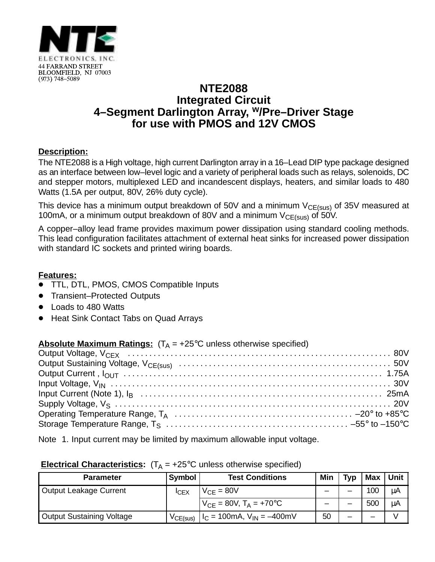

# **NTE2088 Integrated Circuit 4–Segment Darlington Array, w/Pre–Driver Stage for use with PMOS and 12V CMOS**

## **Description:**

The NTE2088 is a High voltage, high current Darlington array in a 16–Lead DIP type package designed as an interface between low–level logic and a variety of peripheral loads such as relays, solenoids, DC and stepper motors, multiplexed LED and incandescent displays, heaters, and similar loads to 480 Watts (1.5A per output, 80V, 26% duty cycle).

This device has a minimum output breakdown of 50V and a minimum  $V_{CE(sus)}$  of 35V measured at 100mA, or a minimum output breakdown of 80V and a minimum  $V_{CE(sus)}$  of 50V.

A copper–alloy lead frame provides maximum power dissipation using standard cooling methods. This lead configuration facilitates attachment of external heat sinks for increased power dissipation with standard IC sockets and printed wiring boards.

### **Features:**

- TTL, DTL, PMOS, CMOS Compatible Inputs
- $\bullet$ Transient–Protected Outputs
- $\bullet$ Loads to 480 Watts
- $\bullet$ Heat Sink Contact Tabs on Quad Arrays

## **Absolute Maximum Ratings:**  $(T_A = +25^{\circ}C$  unless otherwise specified)

Note 1. Input current may be limited by maximum allowable input voltage.

#### **Electrical Characteristics:**  $(T_A = +25^{\circ}C$  unless otherwise specified)

| <b>Parameter</b>              | Symbol      | <b>Test Conditions</b>                         | Min | Typ | Max | I Unit . |
|-------------------------------|-------------|------------------------------------------------|-----|-----|-----|----------|
| <b>Output Leakage Current</b> | <b>ICEX</b> | $V_{CF} = 80V$                                 |     |     | 100 | μA       |
|                               |             | $V_{CF} = 80V$ , $T_A = +70^{\circ}C$          |     |     | 500 | μA       |
| Output Sustaining Voltage     | VCE(sus)    | $H_C = 100 \text{mA}, V_{IN} = -400 \text{mV}$ | 50  |     |     |          |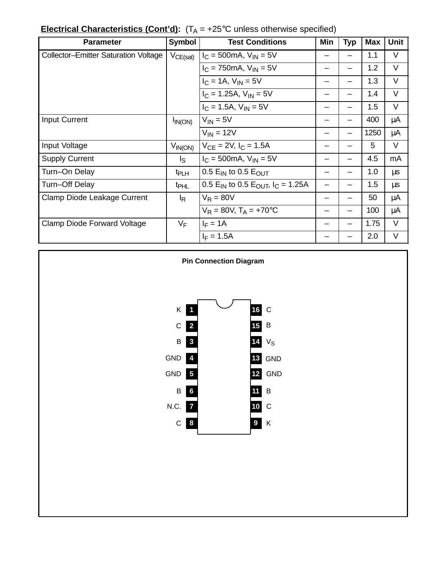|  | <b>Electrical Characteristics (Cont'd):</b> $(T_A = +25^{\circ}C \text{ unless otherwise specified})$ |
|--|-------------------------------------------------------------------------------------------------------|
|--|-------------------------------------------------------------------------------------------------------|

| <b>Parameter</b>                            | Symbol                  | <b>Test Conditions</b>                                               | Min | <b>Typ</b> | <b>Max</b> | <b>Unit</b> |
|---------------------------------------------|-------------------------|----------------------------------------------------------------------|-----|------------|------------|-------------|
| <b>Collector-Emitter Saturation Voltage</b> | $V_{CE(sat)}$           | $I_C = 500 \text{mA}, V_{IN} = 5V$                                   |     |            | 1.1        | V           |
|                                             |                         | $I_C = 750 \text{mA}, V_{IN} = 5V$                                   |     |            | 1.2        | V           |
|                                             |                         | $I_C = 1A$ , $V_{IN} = 5V$                                           |     |            | 1.3        | V           |
|                                             |                         | $I_C = 1.25A$ , $V_{IN} = 5V$                                        |     |            | 1.4        | V           |
|                                             |                         | $I_C = 1.5A$ , $V_{IN} = 5V$                                         |     |            | 1.5        | V           |
| <b>Input Current</b>                        | $I_{IN(ON)}$            | $V_{IN} = 5V$                                                        |     |            | 400        | μA          |
|                                             |                         | $V_{IN} = 12V$                                                       |     |            | 1250       | μA          |
| Input Voltage                               | $V_{IN(ON)}$            | $V_{CF} = 2V$ , $I_C = 1.5A$                                         |     |            | 5          | V           |
| <b>Supply Current</b>                       | $\mathsf{I}_\mathsf{S}$ | $I_C = 500 \text{mA}, V_{IN} = 5V$                                   |     |            | 4.5        | mA          |
| Turn-On Delay                               | t <sub>PLH</sub>        | 0.5 $E_{IN}$ to 0.5 $E_{OUT}$                                        |     |            | 1.0        | μs          |
| Turn-Off Delay                              | t <sub>PHL</sub>        | 0.5 E <sub>IN</sub> to 0.5 E <sub>OUT</sub> , I <sub>C</sub> = 1.25A |     |            | 1.5        | μs          |
| Clamp Diode Leakage Current                 | $I_R$                   | $V_R = 80V$                                                          |     |            | 50         | μA          |
|                                             |                         | $V_R = 80V$ , $T_A = +70^{\circ}C$                                   |     |            | 100        | μA          |
| <b>Clamp Diode Forward Voltage</b>          | $V_F$                   | $I_F = 1A$                                                           |     |            | 1.75       | V           |
|                                             |                         | $I_F = 1.5A$                                                         |     |            | 2.0        | V           |

**Pin Connection Diagram**